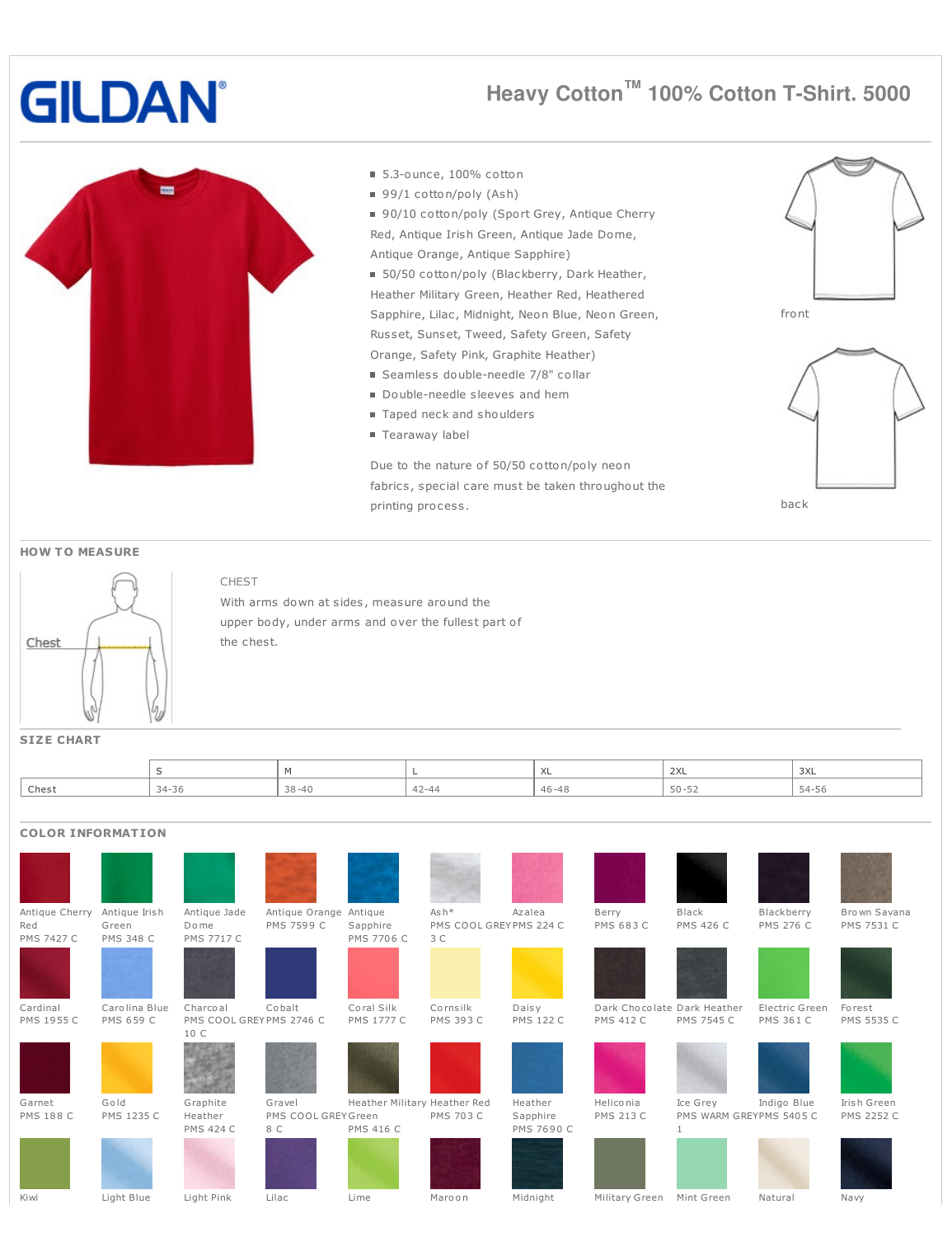# **GILDAN**

# **Heavy Cotton ™ 100% Cotton T-Shirt. 5000**



#### 5.3-ounce, 100% cotton

- 99/1 cotton/poly (Ash)
- 90/10 cotton/poly (Sport Grey, Antique Cherry Red, Antique Irish Green, Antique Jade Dome, Antique Orange, Antique Sapphire)
- 50/50 cotton/poly (Blackberry, Dark Heather, Heather Military Green, Heather Red, Heathered Sapphire, Lilac, Midnight, Neon Blue, Neon Green, Russet, Sunset, Tweed, Safety Green, Safety Orange, Safety Pink, Graphite Heather)
- Seamless double-needle 7/8" collar
- Double-needle sleeves and hem
- Taped neck and shoulders
- Tearaway label

Due to the nature of 50/50 cotton/poly neon fabrics, special care must be taken throughout the printing process.





#### **HOW T O MEASURE**



### CHEST

With arms down at sides, measure around the upper body, under arms and over the fullest part of the chest.

#### **SIZE CHART**

|       |       |                | $\mathcal{M}$<br>$\wedge$ | 2XL       | $-$<br>シハレ<br>the contract of the contract of |
|-------|-------|----------------|---------------------------|-----------|-----------------------------------------------|
| Chest | 34-36 | $38 - 40$<br>◡ | $46 - 48$<br>.            | $50 - 52$ | $\overline{\phantom{a}}$<br>$54-$<br>، د      |

## **COLOR INFORMATION**

| Antique Cherry    | Antique Irish    | Antique Jade                    | Antique Orange Antique |                              | $Ash*$                  | Azalea           | Berry                       | Black                   | Blackberry       | Brown Savana      |
|-------------------|------------------|---------------------------------|------------------------|------------------------------|-------------------------|------------------|-----------------------------|-------------------------|------------------|-------------------|
| Red               | Green            | Dome                            | PMS 7599 C             | Sapphire                     | PMS COOL GREY PMS 224 C |                  | <b>PMS 683 C</b>            | <b>PMS 426 C</b>        | <b>PMS 276 C</b> | PMS 7531 C        |
| <b>PMS 7427 C</b> | <b>PMS 348 C</b> | <b>PMS 7717 C</b>               |                        | PMS 7706 C                   | 3 C                     |                  |                             |                         |                  |                   |
|                   |                  |                                 |                        |                              |                         |                  |                             |                         |                  |                   |
| Cardinal          | Carolina Blue    | Charcoal                        | Cobalt                 | Coral Silk                   | Cornsilk                | Daisy            | Dark Chocolate Dark Heather |                         | Electric Green   | Forest            |
| PMS 1955 C        | PMS 659 C        | PMS COOL GREYPMS 2746 C<br>10 C |                        | <b>PMS 1777 C</b>            | <b>PMS 393 C</b>        | <b>PMS 122 C</b> | <b>PMS 412 C</b>            | <b>PMS 7545 C</b>       | <b>PMS 361 C</b> | PMS 5535 C        |
|                   |                  |                                 |                        |                              |                         |                  |                             |                         |                  |                   |
| Garnet            | Gold             | Graphite                        | Gravel                 | Heather Military Heather Red |                         | Heather          | Heliconia                   | Ice Grey                | Indigo Blue      | Irish Green       |
| <b>PMS 188 C</b>  | PMS 1235 C       | Heather                         | PMS COOL GREY Green    |                              | <b>PMS 703 C</b>        | Sapphire         | <b>PMS 213 C</b>            | PMS WARM GREYPMS 5405 C |                  | <b>PMS 2252 C</b> |
|                   |                  | <b>PMS 424 C</b>                | 8 C                    | <b>PMS 416 C</b>             |                         | PMS 7690 C       |                             |                         |                  |                   |
|                   |                  |                                 |                        |                              |                         |                  |                             |                         |                  |                   |

#### Kiwi Light Blue Light Pink Lilac Lime Maroon Midnight Military Green Mint Green Natural Navy